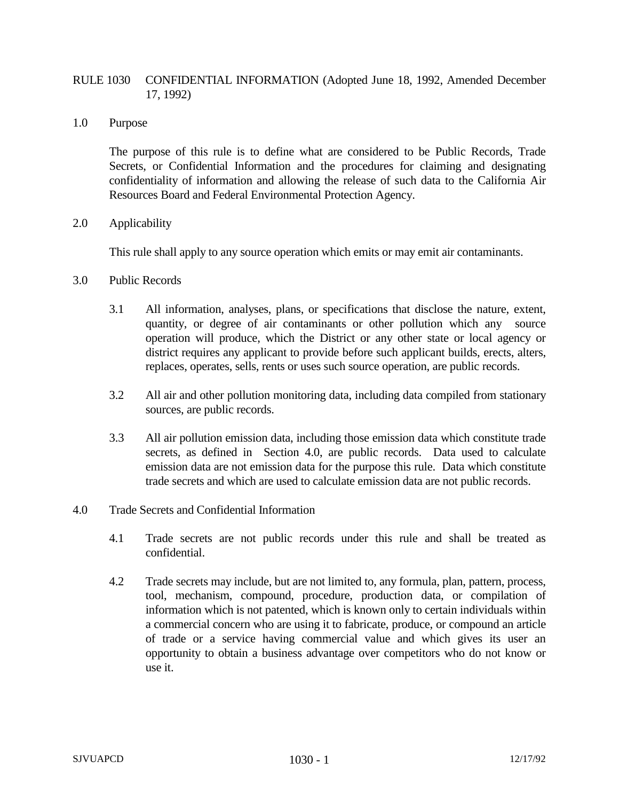## RULE 1030 CONFIDENTIAL INFORMATION (Adopted June 18, 1992, Amended December 17, 1992)

1.0 Purpose

The purpose of this rule is to define what are considered to be Public Records, Trade Secrets, or Confidential Information and the procedures for claiming and designating confidentiality of information and allowing the release of such data to the California Air Resources Board and Federal Environmental Protection Agency.

2.0 Applicability

This rule shall apply to any source operation which emits or may emit air contaminants.

- 3.0 Public Records
	- 3.1 All information, analyses, plans, or specifications that disclose the nature, extent, quantity, or degree of air contaminants or other pollution which any source operation will produce, which the District or any other state or local agency or district requires any applicant to provide before such applicant builds, erects, alters, replaces, operates, sells, rents or uses such source operation, are public records.
	- 3.2 All air and other pollution monitoring data, including data compiled from stationary sources, are public records.
	- 3.3 All air pollution emission data, including those emission data which constitute trade secrets, as defined in Section 4.0, are public records. Data used to calculate emission data are not emission data for the purpose this rule. Data which constitute trade secrets and which are used to calculate emission data are not public records.
- 4.0 Trade Secrets and Confidential Information
	- 4.1 Trade secrets are not public records under this rule and shall be treated as confidential.
	- 4.2 Trade secrets may include, but are not limited to, any formula, plan, pattern, process, tool, mechanism, compound, procedure, production data, or compilation of information which is not patented, which is known only to certain individuals within a commercial concern who are using it to fabricate, produce, or compound an article of trade or a service having commercial value and which gives its user an opportunity to obtain a business advantage over competitors who do not know or use it.